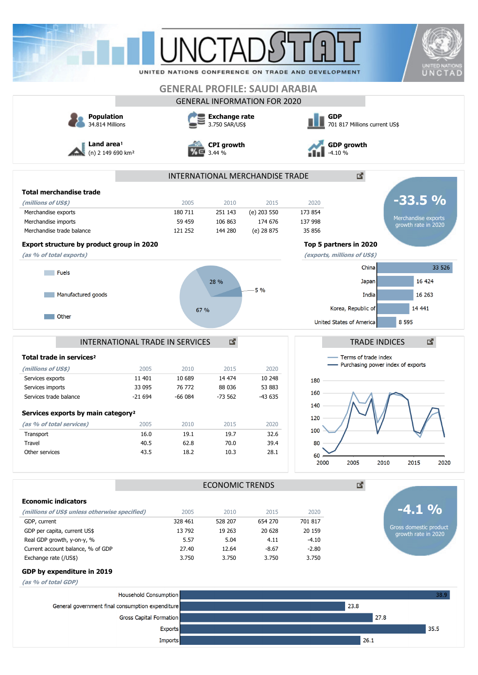|                                                                                                 |                                                   |                                                                       | UNCTAI                        |                                      | UNITED NATIONS CONFERENCE ON TRADE AND DEVELOPMENT                           |                                                                                     | <b>UNITED NATIONS</b><br>UNCTAD      |  |
|-------------------------------------------------------------------------------------------------|---------------------------------------------------|-----------------------------------------------------------------------|-------------------------------|--------------------------------------|------------------------------------------------------------------------------|-------------------------------------------------------------------------------------|--------------------------------------|--|
|                                                                                                 |                                                   |                                                                       |                               |                                      |                                                                              |                                                                                     |                                      |  |
|                                                                                                 |                                                   |                                                                       |                               | <b>GENERAL PROFILE: SAUDI ARABIA</b> |                                                                              |                                                                                     |                                      |  |
|                                                                                                 |                                                   |                                                                       |                               | <b>GENERAL INFORMATION FOR 2020</b>  |                                                                              |                                                                                     |                                      |  |
| <b>Population</b><br>34.814 Millions<br>Land area <sup>1</sup><br>(n) 2 149 690 km <sup>2</sup> |                                                   | <b>Exchange rate</b><br>3.750 SAR/US\$<br><b>CPI</b> growth<br>3.44 % |                               |                                      | <b>GDP</b><br>701 817 Millions current US\$<br><b>GDP growth</b><br>$-4.10%$ |                                                                                     |                                      |  |
|                                                                                                 |                                                   |                                                                       |                               |                                      |                                                                              |                                                                                     |                                      |  |
| <b>Total merchandise trade</b>                                                                  |                                                   |                                                                       |                               |                                      |                                                                              |                                                                                     |                                      |  |
| (millions of US\$)                                                                              |                                                   | 2005                                                                  | 2010                          | 2015                                 | 2020                                                                         | $-33.5%$                                                                            |                                      |  |
| Merchandise exports                                                                             |                                                   | 180 711                                                               | 251 143                       | (e) 203 550                          | 173 854                                                                      |                                                                                     |                                      |  |
| Merchandise imports                                                                             |                                                   | 59 459                                                                | 106 863                       | 174 676                              | 137 998                                                                      | Merchandise exports<br>growth rate in 2020                                          |                                      |  |
| Merchandise trade balance                                                                       |                                                   | 121 252                                                               | 144 280                       | (e) 28 875                           | 35 856                                                                       |                                                                                     |                                      |  |
| Export structure by product group in 2020                                                       |                                                   |                                                                       |                               |                                      | Top 5 partners in 2020                                                       |                                                                                     |                                      |  |
| (as % of total exports)                                                                         |                                                   |                                                                       |                               |                                      | (exports, millions of US\$)                                                  |                                                                                     |                                      |  |
|                                                                                                 |                                                   |                                                                       |                               |                                      |                                                                              | China                                                                               | 33 526                               |  |
| Fuels                                                                                           |                                                   |                                                                       |                               |                                      |                                                                              |                                                                                     |                                      |  |
|                                                                                                 |                                                   |                                                                       | 28 %                          | 5 %                                  |                                                                              | Japan                                                                               |                                      |  |
| Manufactured goods                                                                              |                                                   |                                                                       |                               |                                      |                                                                              | 16 263<br>India                                                                     |                                      |  |
|                                                                                                 |                                                   | 67 %                                                                  |                               |                                      |                                                                              | Korea, Republic of<br>14 441                                                        |                                      |  |
| Other                                                                                           |                                                   |                                                                       |                               |                                      | United States of America                                                     | 8 5 9 5                                                                             |                                      |  |
|                                                                                                 |                                                   |                                                                       |                               |                                      |                                                                              |                                                                                     |                                      |  |
| Total trade in services <sup>2</sup><br>(millions of US\$)<br>Services exports                  | INTERNATIONAL TRADE IN SERVICES<br>2005<br>11 401 | 2010<br>10 689                                                        | 國<br>2015<br>14 474<br>88 036 | 2020<br>10 248                       | 180                                                                          | <b>TRADE INDICES</b><br>Terms of trade index<br>- Purchasing power index of exports |                                      |  |
| Services imports<br>Services trade balance                                                      | 33 095<br>$-21694$                                | 76 772<br>$-66084$                                                    | $-73562$                      | 53 883<br>$-43635$                   | 160                                                                          |                                                                                     |                                      |  |
|                                                                                                 |                                                   |                                                                       |                               |                                      | 140                                                                          |                                                                                     |                                      |  |
| Services exports by main category <sup>2</sup>                                                  |                                                   |                                                                       |                               |                                      | 120                                                                          |                                                                                     |                                      |  |
| (as % of total services)                                                                        | 2005                                              | 2010                                                                  | 2015                          | 2020                                 |                                                                              |                                                                                     |                                      |  |
| Transport                                                                                       | 16.0                                              | 19.1                                                                  | 19.7                          | 32.6                                 | 100                                                                          |                                                                                     |                                      |  |
| Travel                                                                                          | 40.5                                              | 62.8                                                                  | 70.0                          | 39.4                                 | 80                                                                           |                                                                                     |                                      |  |
| Other services                                                                                  | 43.5                                              | 18.2                                                                  | 10.3                          | 28.1                                 | 60                                                                           |                                                                                     | 16 424<br>國<br>2020<br>$\frac{O}{O}$ |  |
|                                                                                                 |                                                   |                                                                       |                               |                                      | 2000                                                                         | 2005<br>2010<br>2015                                                                |                                      |  |
|                                                                                                 | <b>ECONOMIC TRENDS</b>                            |                                                                       |                               |                                      |                                                                              | 國                                                                                   |                                      |  |
| <b>Economic indicators</b>                                                                      |                                                   |                                                                       |                               |                                      |                                                                              |                                                                                     |                                      |  |
| (millions of US\$ unless otherwise specified)                                                   |                                                   | 2005                                                                  | 2010                          | 2015                                 | 2020                                                                         |                                                                                     |                                      |  |
| GDP, current                                                                                    |                                                   | 328 461                                                               | 528 207                       | 654 270                              | 701 817                                                                      | Gross domestic product                                                              |                                      |  |
| GDP per capita, current US\$                                                                    |                                                   | 13 792                                                                | 19 263                        | 20 628                               | 20 159                                                                       | growth rate in 2020                                                                 |                                      |  |
| Real GDP growth, y-on-y, %<br>Current account balance, % of GDP                                 |                                                   | 5.57<br>27.40                                                         | 5.04<br>12.64                 | 4.11<br>$-8.67$                      | $-4.10$<br>$-2.80$                                                           |                                                                                     |                                      |  |
| Exchange rate (/US\$)                                                                           |                                                   | 3.750                                                                 | 3.750                         | 3.750                                | 3.750                                                                        |                                                                                     |                                      |  |
| GDP by expenditure in 2019                                                                      |                                                   |                                                                       |                               |                                      |                                                                              |                                                                                     |                                      |  |
|                                                                                                 |                                                   |                                                                       |                               |                                      |                                                                              |                                                                                     |                                      |  |
| (as % of total GDP)                                                                             |                                                   |                                                                       |                               |                                      |                                                                              |                                                                                     |                                      |  |
| <b>Household Consumption</b>                                                                    |                                                   |                                                                       |                               |                                      |                                                                              |                                                                                     | 38.9                                 |  |
| General government final consumption expenditure                                                |                                                   |                                                                       |                               |                                      |                                                                              | 23.8                                                                                |                                      |  |
| <b>Gross Capital Formation</b>                                                                  |                                                   |                                                                       |                               |                                      |                                                                              | 27.8                                                                                |                                      |  |
|                                                                                                 |                                                   | <b>Exports</b>                                                        |                               |                                      |                                                                              |                                                                                     | 35.5                                 |  |
|                                                                                                 |                                                   | <b>Imports</b>                                                        |                               |                                      |                                                                              | 26.1                                                                                |                                      |  |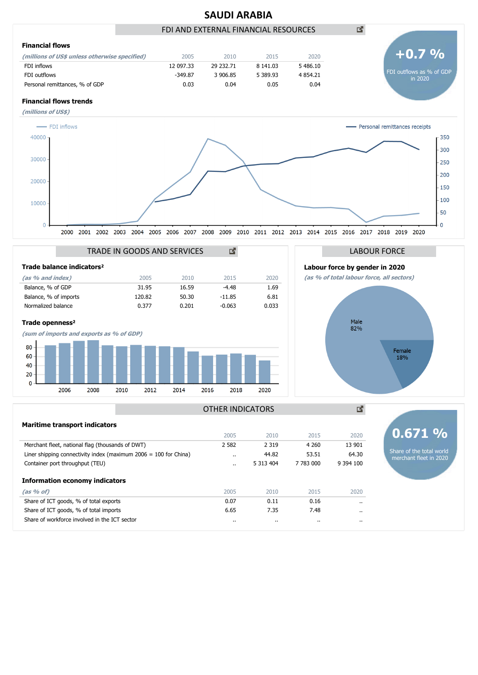

Share of the total world merchant fleet in 2020

|                                                                    | 2005      | 2010      | 2015      | 2020                 |
|--------------------------------------------------------------------|-----------|-----------|-----------|----------------------|
| Merchant fleet, national flag (thousands of DWT)                   | 2 5 8 2   | 2 3 1 9   | 4 2 6 0   | 13 901               |
| Liner shipping connectivity index (maximum $2006 = 100$ for China) | $\cdot$ . | 44.82     | 53.51     | 64.30                |
| Container port throughput (TEU)                                    | $\cdot$ . | 5 313 404 | 7 783 000 | 9 3 9 4 10 0         |
| <b>Information economy indicators</b>                              |           |           |           |                      |
| $(as % of)$                                                        | 2005      | 2010      | 2015      | 2020                 |
| Share of ICT goods, % of total exports                             | 0.07      | 0.11      | 0.16      | $\cdots$             |
| Share of ICT goods, % of total imports                             | 6.65      | 7.35      | 7.48      | $\ddot{\phantom{0}}$ |
|                                                                    |           |           |           |                      |